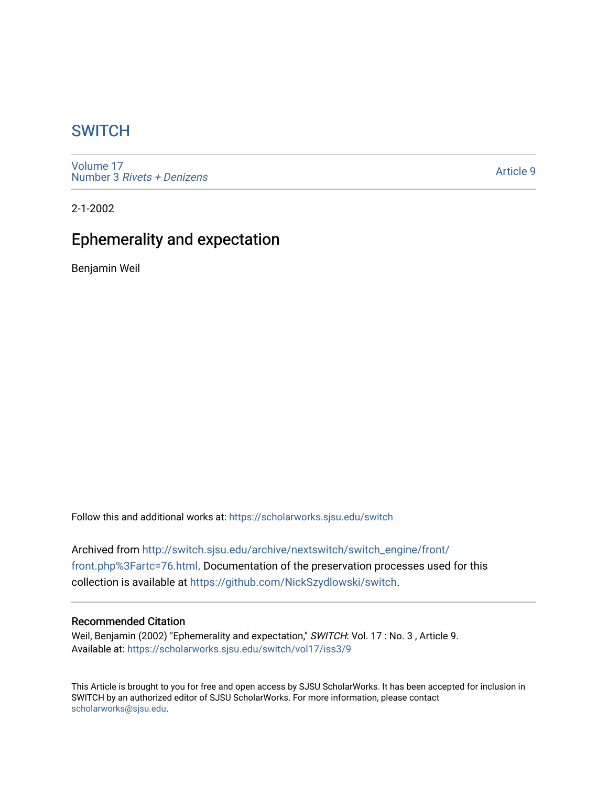## **SWITCH**

[Volume 17](https://scholarworks.sjsu.edu/switch/vol17) Number 3 [Rivets + Denizens](https://scholarworks.sjsu.edu/switch/vol17/iss3)

[Article 9](https://scholarworks.sjsu.edu/switch/vol17/iss3/9) 

2-1-2002

# Ephemerality and expectation

Benjamin Weil

Follow this and additional works at: [https://scholarworks.sjsu.edu/switch](https://scholarworks.sjsu.edu/switch?utm_source=scholarworks.sjsu.edu%2Fswitch%2Fvol17%2Fiss3%2F9&utm_medium=PDF&utm_campaign=PDFCoverPages)

Archived from [http://switch.sjsu.edu/archive/nextswitch/switch\\_engine/front/](http://switch.sjsu.edu/archive/nextswitch/switch_engine/front/front.php%3Fartc=76.html) [front.php%3Fartc=76.html](http://switch.sjsu.edu/archive/nextswitch/switch_engine/front/front.php%3Fartc=76.html). Documentation of the preservation processes used for this collection is available at [https://github.com/NickSzydlowski/switch.](https://github.com/NickSzydlowski/switch)

## Recommended Citation

Weil, Benjamin (2002) "Ephemerality and expectation," SWITCH: Vol. 17: No. 3, Article 9. Available at: [https://scholarworks.sjsu.edu/switch/vol17/iss3/9](https://scholarworks.sjsu.edu/switch/vol17/iss3/9?utm_source=scholarworks.sjsu.edu%2Fswitch%2Fvol17%2Fiss3%2F9&utm_medium=PDF&utm_campaign=PDFCoverPages) 

This Article is brought to you for free and open access by SJSU ScholarWorks. It has been accepted for inclusion in SWITCH by an authorized editor of SJSU ScholarWorks. For more information, please contact [scholarworks@sjsu.edu](mailto:scholarworks@sjsu.edu).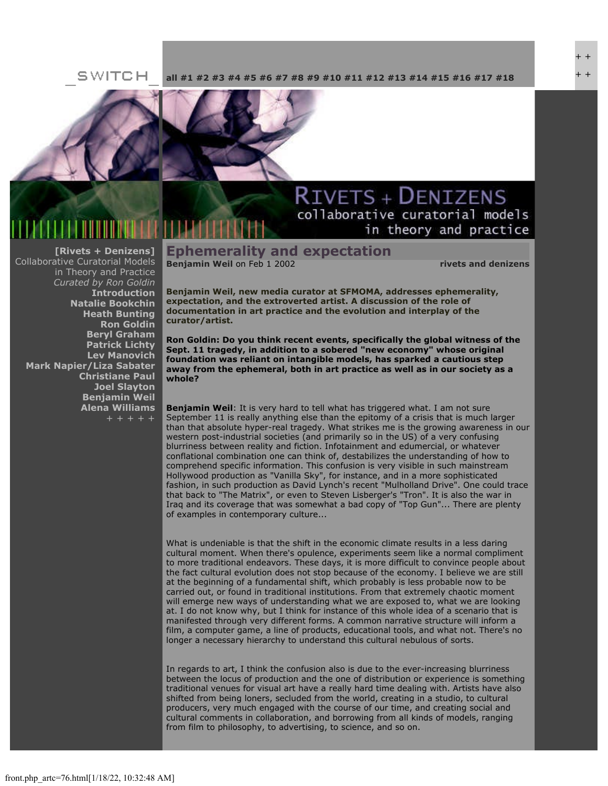#### SWITCH **[all](file:///Users/nszydlowski/Desktop/websites%20copy/Switch%20Journal/switch.sjsu.edu/archive/nextswitch/switch_engine/front/front.php.html) [#1](file:///Users/nszydlowski/Desktop/websites%20copy/Switch%20Journal/switch.sjsu.edu/archive/nextswitch/switch_engine/front/front.php_cat%3d5.html) [#2](file:///Users/nszydlowski/Desktop/websites%20copy/Switch%20Journal/switch.sjsu.edu/archive/nextswitch/switch_engine/front/front.php_cat%3d6.html) [#3](file:///Users/nszydlowski/Desktop/websites%20copy/Switch%20Journal/switch.sjsu.edu/archive/nextswitch/switch_engine/front/front.php_cat%3d7.html) [#4](file:///Users/nszydlowski/Desktop/websites%20copy/Switch%20Journal/switch.sjsu.edu/archive/nextswitch/switch_engine/front/front.php_cat%3d8.html) [#5](file:///Users/nszydlowski/Desktop/websites%20copy/Switch%20Journal/switch.sjsu.edu/archive/nextswitch/switch_engine/front/front.php_cat%3d9.html) [#6](file:///Users/nszydlowski/Desktop/websites%20copy/Switch%20Journal/switch.sjsu.edu/archive/nextswitch/switch_engine/front/front.php_cat%3d10.html) [#7](file:///Users/nszydlowski/Desktop/websites%20copy/Switch%20Journal/switch.sjsu.edu/archive/nextswitch/switch_engine/front/front.php_cat%3d11.html) [#8](file:///Users/nszydlowski/Desktop/websites%20copy/Switch%20Journal/switch.sjsu.edu/archive/nextswitch/switch_engine/front/front.php_cat%3d12.html) [#9](file:///Users/nszydlowski/Desktop/websites%20copy/Switch%20Journal/switch.sjsu.edu/archive/nextswitch/switch_engine/front/front.php_cat%3d13.html) [#10](file:///Users/nszydlowski/Desktop/websites%20copy/Switch%20Journal/switch.sjsu.edu/archive/nextswitch/switch_engine/front/front.php_cat%3d14.html) [#11](file:///Users/nszydlowski/Desktop/websites%20copy/Switch%20Journal/switch.sjsu.edu/archive/nextswitch/switch_engine/front/front.php_cat%3d15.html) [#12](file:///Users/nszydlowski/Desktop/websites%20copy/Switch%20Journal/switch.sjsu.edu/archive/nextswitch/switch_engine/front/front.php_cat%3d16.html) [#13](file:///Users/nszydlowski/Desktop/websites%20copy/Switch%20Journal/switch.sjsu.edu/archive/nextswitch/switch_engine/front/front.php_cat%3d17.html) [#14](file:///Users/nszydlowski/Desktop/websites%20copy/Switch%20Journal/switch.sjsu.edu/archive/nextswitch/switch_engine/front/front.php_cat%3d18.html) [#15](file:///Users/nszydlowski/Desktop/websites%20copy/Switch%20Journal/switch.sjsu.edu/archive/nextswitch/switch_engine/front/front.php_cat%3d19.html) [#16](file:///Users/nszydlowski/Desktop/websites%20copy/Switch%20Journal/switch.sjsu.edu/archive/nextswitch/switch_engine/front/front.php_cat%3d20.html) [#17](file:///Users/nszydlowski/Desktop/websites%20copy/Switch%20Journal/switch.sjsu.edu/archive/nextswitch/switch_engine/front/front.php_cat%3d21.html) [#18](file:///Users/nszydlowski/Desktop/websites%20copy/Switch%20Journal/switch.sjsu.edu/archive/nextswitch/switch_engine/front/front.php_cat%3d44.html)**



### **[\[Rivets + Denizens\]](file:///Users/nszydlowski/Desktop/websites%20copy/Switch%20Journal/switch.sjsu.edu/archive/nextswitch/switch_engine/front/front.php_cat%3d27.html)** Collaborative Curatorial Models in Theory and Practice *Curated by Ron Goldin* **[Introduction](file:///Users/nszydlowski/Desktop/websites%20copy/Switch%20Journal/switch.sjsu.edu/archive/nextswitch/switch_engine/front/front.php_artc%3d67.html) [Natalie Bookchin](file:///Users/nszydlowski/Desktop/websites%20copy/Switch%20Journal/switch.sjsu.edu/archive/nextswitch/switch_engine/front/front.php_artc%3d66.html) [Heath Bunting](file:///Users/nszydlowski/Desktop/websites%20copy/Switch%20Journal/switch.sjsu.edu/archive/nextswitch/switch_engine/front/front.php_artc%3d106.html) [Ron Goldin](file:///Users/nszydlowski/Desktop/websites%20copy/Switch%20Journal/switch.sjsu.edu/archive/nextswitch/switch_engine/front/front.php_artc%3d46.html) [Beryl Graham](file:///Users/nszydlowski/Desktop/websites%20copy/Switch%20Journal/switch.sjsu.edu/archive/nextswitch/switch_engine/front/front.php_artc%3d136.html) [Patrick Lichty](file:///Users/nszydlowski/Desktop/websites%20copy/Switch%20Journal/switch.sjsu.edu/archive/nextswitch/switch_engine/front/front.php_artc%3d72.html) [Lev Manovich](file:///Users/nszydlowski/Desktop/websites%20copy/Switch%20Journal/switch.sjsu.edu/archive/nextswitch/switch_engine/front/front.php_artc%3d65.html) [Mark Napier/Liza Sabater](file:///Users/nszydlowski/Desktop/websites%20copy/Switch%20Journal/switch.sjsu.edu/archive/nextswitch/switch_engine/front/front.php_artc%3d82.html) [Christiane Paul](file:///Users/nszydlowski/Desktop/websites%20copy/Switch%20Journal/switch.sjsu.edu/archive/nextswitch/switch_engine/front/front.php_artc%3d70.html) [Joel Slayton](file:///Users/nszydlowski/Desktop/websites%20copy/Switch%20Journal/switch.sjsu.edu/archive/nextswitch/switch_engine/front/front.php_artc%3d83.html) [Benjamin Weil](file:///Users/nszydlowski/Desktop/websites%20copy/Switch%20Journal/switch.sjsu.edu/archive/nextswitch/switch_engine/front/front.php_artc%3d76.html) [Alena Williams](file:///Users/nszydlowski/Desktop/websites%20copy/Switch%20Journal/switch.sjsu.edu/archive/nextswitch/switch_engine/front/front.php_artc%3d99.html)**

# **RIVETS + DENIZENS** collaborative curatorial models in theory and practice

**Ephemerality and expectation [Benjamin Weil](file:///Users/nszydlowski/Desktop/websites%20copy/Switch%20Journal/switch.sjsu.edu/archive/nextswitch/switch_engine/front/users.php_w%3d52.html) on Feb 1 2002** *Remain Series and denizens* 

+ + + +

**Benjamin Weil, new media curator at SFMOMA, addresses ephemerality, expectation, and the extroverted artist. A discussion of the role of documentation in art practice and the evolution and interplay of the curator/artist.** 

**Ron Goldin: Do you think recent events, specifically the global witness of the Sept. 11 tragedy, in addition to a sobered "new economy" whose original foundation was reliant on intangible models, has sparked a cautious step away from the ephemeral, both in art practice as well as in our society as a whole?**

**Benjamin Weil**: It is very hard to tell what has triggered what. I am not sure September 11 is really anything else than the epitomy of a crisis that is much larger than that absolute hyper-real tragedy. What strikes me is the growing awareness in our western post-industrial societies (and primarily so in the US) of a very confusing blurriness between reality and fiction. Infotainment and edumercial, or whatever conflational combination one can think of, destabilizes the understanding of how to comprehend specific information. This confusion is very visible in such mainstream Hollywood production as "Vanilla Sky", for instance, and in a more sophisticated fashion, in such production as David Lynch's recent "Mulholland Drive". One could trace that back to "The Matrix", or even to Steven Lisberger's "Tron". It is also the war in Iraq and its coverage that was somewhat a bad copy of "Top Gun"... There are plenty of examples in contemporary culture...

What is undeniable is that the shift in the economic climate results in a less daring cultural moment. When there's opulence, experiments seem like a normal compliment to more traditional endeavors. These days, it is more difficult to convince people about the fact cultural evolution does not stop because of the economy. I believe we are still at the beginning of a fundamental shift, which probably is less probable now to be carried out, or found in traditional institutions. From that extremely chaotic moment will emerge new ways of understanding what we are exposed to, what we are looking at. I do not know why, but I think for instance of this whole idea of a scenario that is manifested through very different forms. A common narrative structure will inform a film, a computer game, a line of products, educational tools, and what not. There's no longer a necessary hierarchy to understand this cultural nebulous of sorts.

In regards to art, I think the confusion also is due to the ever-increasing blurriness between the locus of production and the one of distribution or experience is something traditional venues for visual art have a really hard time dealing with. Artists have also shifted from being loners, secluded from the world, creating in a studio, to cultural producers, very much engaged with the course of our time, and creating social and cultural comments in collaboration, and borrowing from all kinds of models, ranging from film to philosophy, to advertising, to science, and so on.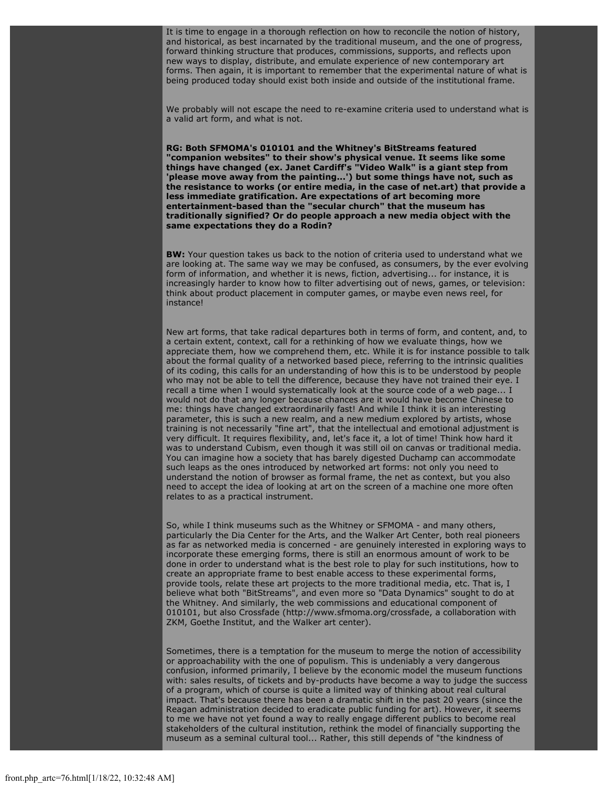It is time to engage in a thorough reflection on how to reconcile the notion of history, and historical, as best incarnated by the traditional museum, and the one of progress, forward thinking structure that produces, commissions, supports, and reflects upon new ways to display, distribute, and emulate experience of new contemporary art forms. Then again, it is important to remember that the experimental nature of what is being produced today should exist both inside and outside of the institutional frame.

We probably will not escape the need to re-examine criteria used to understand what is a valid art form, and what is not.

**RG: Both SFMOMA's 010101 and the Whitney's BitStreams featured "companion websites" to their show's physical venue. It seems like some things have changed (ex. Janet Cardiff's "Video Walk" is a giant step from 'please move away from the painting...') but some things have not, such as the resistance to works (or entire media, in the case of net.art) that provide a less immediate gratification. Are expectations of art becoming more entertainment-based than the "secular church" that the museum has traditionally signified? Or do people approach a new media object with the same expectations they do a Rodin?**

**BW:** Your question takes us back to the notion of criteria used to understand what we are looking at. The same way we may be confused, as consumers, by the ever evolving form of information, and whether it is news, fiction, advertising... for instance, it is increasingly harder to know how to filter advertising out of news, games, or television: think about product placement in computer games, or maybe even news reel, for instance!

New art forms, that take radical departures both in terms of form, and content, and, to a certain extent, context, call for a rethinking of how we evaluate things, how we appreciate them, how we comprehend them, etc. While it is for instance possible to talk about the formal quality of a networked based piece, referring to the intrinsic qualities of its coding, this calls for an understanding of how this is to be understood by people who may not be able to tell the difference, because they have not trained their eye. I recall a time when I would systematically look at the source code of a web page... I would not do that any longer because chances are it would have become Chinese to me: things have changed extraordinarily fast! And while I think it is an interesting parameter, this is such a new realm, and a new medium explored by artists, whose training is not necessarily "fine art", that the intellectual and emotional adjustment is very difficult. It requires flexibility, and, let's face it, a lot of time! Think how hard it was to understand Cubism, even though it was still oil on canvas or traditional media. You can imagine how a society that has barely digested Duchamp can accommodate such leaps as the ones introduced by networked art forms: not only you need to understand the notion of browser as formal frame, the net as context, but you also need to accept the idea of looking at art on the screen of a machine one more often relates to as a practical instrument.

So, while I think museums such as the Whitney or SFMOMA - and many others, particularly the Dia Center for the Arts, and the Walker Art Center, both real pioneers as far as networked media is concerned - are genuinely interested in exploring ways to incorporate these emerging forms, there is still an enormous amount of work to be done in order to understand what is the best role to play for such institutions, how to create an appropriate frame to best enable access to these experimental forms, provide tools, relate these art projects to the more traditional media, etc. That is, I believe what both "BitStreams", and even more so "Data Dynamics" sought to do at the Whitney. And similarly, the web commissions and educational component of 010101, but also Crossfade (http://www.sfmoma.org/crossfade, a collaboration with ZKM, Goethe Institut, and the Walker art center).

Sometimes, there is a temptation for the museum to merge the notion of accessibility or approachability with the one of populism. This is undeniably a very dangerous confusion, informed primarily, I believe by the economic model the museum functions with: sales results, of tickets and by-products have become a way to judge the success of a program, which of course is quite a limited way of thinking about real cultural impact. That's because there has been a dramatic shift in the past 20 years (since the Reagan administration decided to eradicate public funding for art). However, it seems to me we have not yet found a way to really engage different publics to become real stakeholders of the cultural institution, rethink the model of financially supporting the museum as a seminal cultural tool... Rather, this still depends of "the kindness of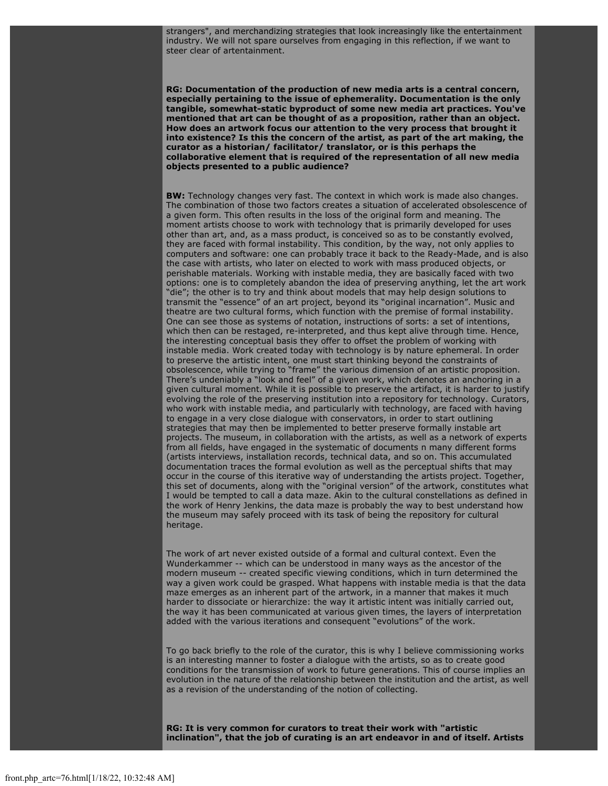strangers", and merchandizing strategies that look increasingly like the entertainment industry. We will not spare ourselves from engaging in this reflection, if we want to steer clear of artentainment.

**RG: Documentation of the production of new media arts is a central concern, especially pertaining to the issue of ephemerality. Documentation is the only tangible, somewhat-static byproduct of some new media art practices. You've mentioned that art can be thought of as a proposition, rather than an object. How does an artwork focus our attention to the very process that brought it into existence? Is this the concern of the artist, as part of the art making, the curator as a historian/ facilitator/ translator, or is this perhaps the collaborative element that is required of the representation of all new media objects presented to a public audience?**

**BW:** Technology changes very fast. The context in which work is made also changes. The combination of those two factors creates a situation of accelerated obsolescence of a given form. This often results in the loss of the original form and meaning. The moment artists choose to work with technology that is primarily developed for uses other than art, and, as a mass product, is conceived so as to be constantly evolved, they are faced with formal instability. This condition, by the way, not only applies to computers and software: one can probably trace it back to the Ready-Made, and is also the case with artists, who later on elected to work with mass produced objects, or perishable materials. Working with instable media, they are basically faced with two options: one is to completely abandon the idea of preserving anything, let the art work "die"; the other is to try and think about models that may help design solutions to transmit the "essence" of an art project, beyond its "original incarnation". Music and theatre are two cultural forms, which function with the premise of formal instability. One can see those as systems of notation, instructions of sorts: a set of intentions, which then can be restaged, re-interpreted, and thus kept alive through time. Hence, the interesting conceptual basis they offer to offset the problem of working with instable media. Work created today with technology is by nature ephemeral. In order to preserve the artistic intent, one must start thinking beyond the constraints of obsolescence, while trying to "frame" the various dimension of an artistic proposition. There's undeniably a "look and feel" of a given work, which denotes an anchoring in a given cultural moment. While it is possible to preserve the artifact, it is harder to justify evolving the role of the preserving institution into a repository for technology. Curators, who work with instable media, and particularly with technology, are faced with having to engage in a very close dialogue with conservators, in order to start outlining strategies that may then be implemented to better preserve formally instable art projects. The museum, in collaboration with the artists, as well as a network of experts from all fields, have engaged in the systematic of documents n many different forms (artists interviews, installation records, technical data, and so on. This accumulated documentation traces the formal evolution as well as the perceptual shifts that may occur in the course of this iterative way of understanding the artists project. Together, this set of documents, along with the "original version" of the artwork, constitutes what I would be tempted to call a data maze. Akin to the cultural constellations as defined in the work of Henry Jenkins, the data maze is probably the way to best understand how the museum may safely proceed with its task of being the repository for cultural heritage.

The work of art never existed outside of a formal and cultural context. Even the Wunderkammer -- which can be understood in many ways as the ancestor of the modern museum -- created specific viewing conditions, which in turn determined the way a given work could be grasped. What happens with instable media is that the data maze emerges as an inherent part of the artwork, in a manner that makes it much harder to dissociate or hierarchize: the way it artistic intent was initially carried out, the way it has been communicated at various given times, the layers of interpretation added with the various iterations and consequent "evolutions" of the work.

To go back briefly to the role of the curator, this is why I believe commissioning works is an interesting manner to foster a dialogue with the artists, so as to create good conditions for the transmission of work to future generations. This of course implies an evolution in the nature of the relationship between the institution and the artist, as well as a revision of the understanding of the notion of collecting.

**RG: It is very common for curators to treat their work with "artistic inclination", that the job of curating is an art endeavor in and of itself. Artists**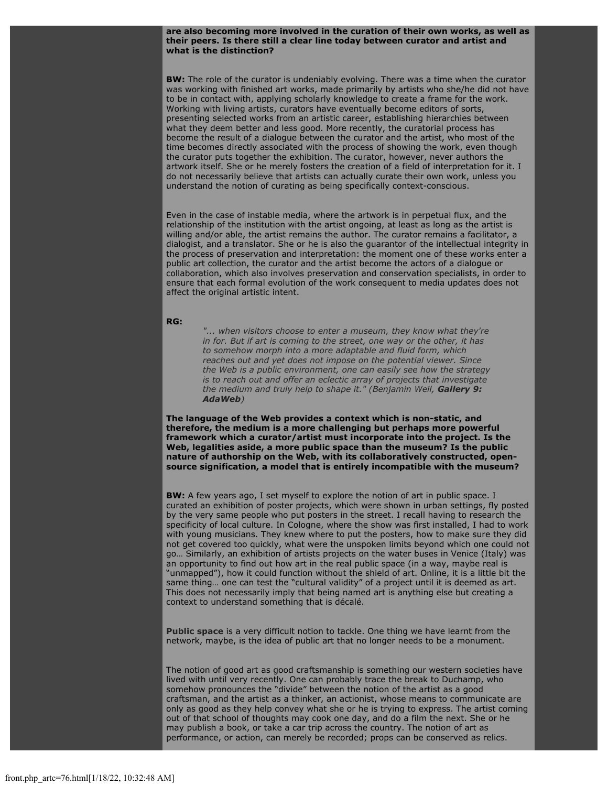#### **are also becoming more involved in the curation of their own works, as well as their peers. Is there still a clear line today between curator and artist and what is the distinction?**

**BW:** The role of the curator is undeniably evolving. There was a time when the curator was working with finished art works, made primarily by artists who she/he did not have to be in contact with, applying scholarly knowledge to create a frame for the work. Working with living artists, curators have eventually become editors of sorts, presenting selected works from an artistic career, establishing hierarchies between what they deem better and less good. More recently, the curatorial process has become the result of a dialogue between the curator and the artist, who most of the time becomes directly associated with the process of showing the work, even though the curator puts together the exhibition. The curator, however, never authors the artwork itself. She or he merely fosters the creation of a field of interpretation for it. I do not necessarily believe that artists can actually curate their own work, unless you understand the notion of curating as being specifically context-conscious.

Even in the case of instable media, where the artwork is in perpetual flux, and the relationship of the institution with the artist ongoing, at least as long as the artist is willing and/or able, the artist remains the author. The curator remains a facilitator, a dialogist, and a translator. She or he is also the guarantor of the intellectual integrity in the process of preservation and interpretation: the moment one of these works enter a public art collection, the curator and the artist become the actors of a dialogue or collaboration, which also involves preservation and conservation specialists, in order to ensure that each formal evolution of the work consequent to media updates does not affect the original artistic intent.

#### **RG:**

*"... when visitors choose to enter a museum, they know what they're in for. But if art is coming to the street, one way or the other, it has to somehow morph into a more adaptable and fluid form, which reaches out and yet does not impose on the potential viewer. Since the Web is a public environment, one can easily see how the strategy is to reach out and offer an eclectic array of projects that investigate the medium and truly help to shape it." (Benjamin Weil, [Gallery 9:](http://www.walkerart.org/gallery9/dasc/adaweb/g9_ada_weil.html) [AdaWeb](http://www.walkerart.org/gallery9/dasc/adaweb/g9_ada_weil.html))*

**The language of the Web provides a context which is non-static, and therefore, the medium is a more challenging but perhaps more powerful framework which a curator/artist must incorporate into the project. Is the Web, legalities aside, a more public space than the museum? Is the public nature of authorship on the Web, with its collaboratively constructed, opensource signification, a model that is entirely incompatible with the museum?**

**BW:** A few years ago, I set myself to explore the notion of art in public space. I curated an exhibition of poster projects, which were shown in urban settings, fly posted by the very same people who put posters in the street. I recall having to research the specificity of local culture. In Cologne, where the show was first installed, I had to work with young musicians. They knew where to put the posters, how to make sure they did not get covered too quickly, what were the unspoken limits beyond which one could not go… Similarly, an exhibition of artists projects on the water buses in Venice (Italy) was an opportunity to find out how art in the real public space (in a way, maybe real is "unmapped"), how it could function without the shield of art. Online, it is a little bit the same thing… one can test the "cultural validity" of a project until it is deemed as art. This does not necessarily imply that being named art is anything else but creating a context to understand something that is décalé.

**[Public space](file:///Users/nszydlowski/Desktop/websites%20copy/Switch%20Journal/switch.sjsu.edu/archive/nextswitch/switch_engine/front/front.php_artc%3d70.html)** is a very difficult notion to tackle. One thing we have learnt from the network, maybe, is the idea of public art that no longer needs to be a monument.

The notion of good art as good craftsmanship is something our western societies have lived with until very recently. One can probably trace the break to Duchamp, who somehow pronounces the "divide" between the notion of the artist as a good craftsman, and the artist as a thinker, an actionist, whose means to communicate are only as good as they help convey what she or he is trying to express. The artist coming out of that school of thoughts may cook one day, and do a film the next. She or he may publish a book, or take a car trip across the country. The notion of art as performance, or action, can merely be recorded; props can be conserved as relics.